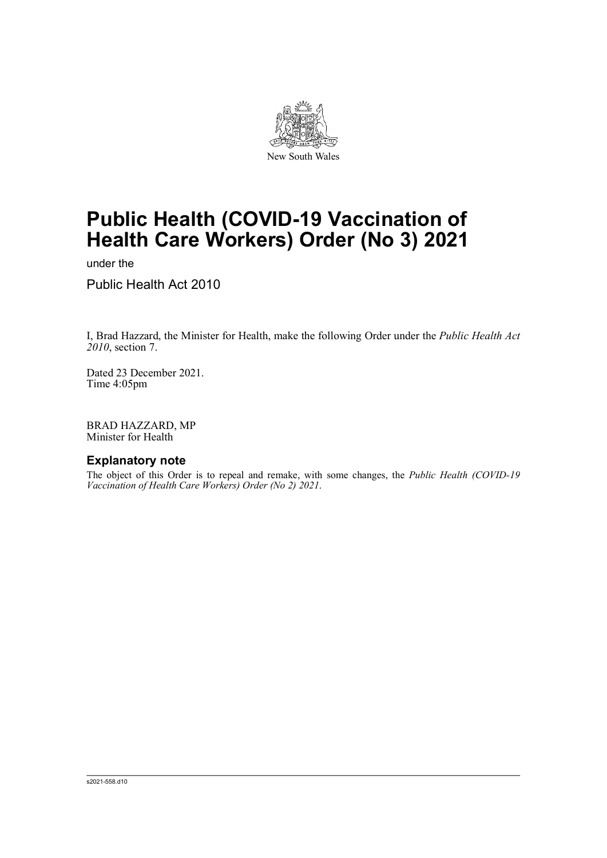

# **Public Health (COVID-19 Vaccination of Health Care Workers) Order (No 3) 2021**

under the

Public Health Act 2010

I, Brad Hazzard, the Minister for Health, make the following Order under the *Public Health Act 2010*, section 7.

Dated 23 December 2021. Time 4:05pm

BRAD HAZZARD, MP Minister for Health

# **Explanatory note**

The object of this Order is to repeal and remake, with some changes, the *Public Health (COVID-19 Vaccination of Health Care Workers) Order (No 2) 2021*.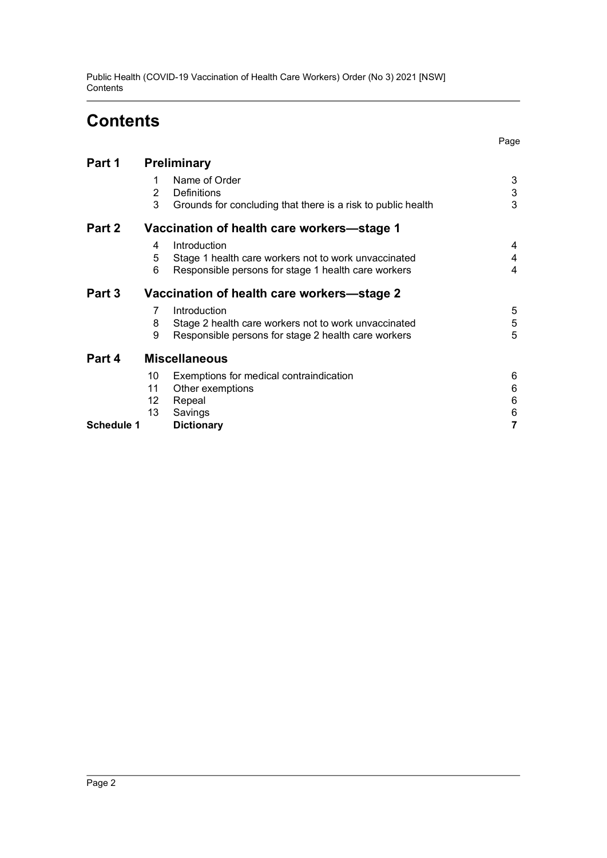Public Health (COVID-19 Vaccination of Health Care Workers) Order (No 3) 2021 [NSW] **Contents** 

# **Contents**

Page

| Part 1            | <b>Preliminary</b>                         |                                                                                                                             |                  |
|-------------------|--------------------------------------------|-----------------------------------------------------------------------------------------------------------------------------|------------------|
|                   | 1<br>2<br>3                                | Name of Order<br>Definitions<br>Grounds for concluding that there is a risk to public health                                | 3<br>3<br>3      |
| Part 2            | Vaccination of health care workers-stage 1 |                                                                                                                             |                  |
|                   | 4<br>5<br>6                                | Introduction<br>Stage 1 health care workers not to work unvaccinated<br>Responsible persons for stage 1 health care workers | 4<br>4<br>4      |
| Part 3            | Vaccination of health care workers-stage 2 |                                                                                                                             |                  |
|                   | 7<br>8<br>9                                | Introduction<br>Stage 2 health care workers not to work unvaccinated<br>Responsible persons for stage 2 health care workers | 5<br>5<br>5      |
| Part 4            | <b>Miscellaneous</b>                       |                                                                                                                             |                  |
|                   | 10<br>11<br>12<br>13                       | Exemptions for medical contraindication<br>Other exemptions<br>Repeal<br>Savings                                            | 6<br>6<br>6<br>6 |
| <b>Schedule 1</b> |                                            | <b>Dictionary</b>                                                                                                           |                  |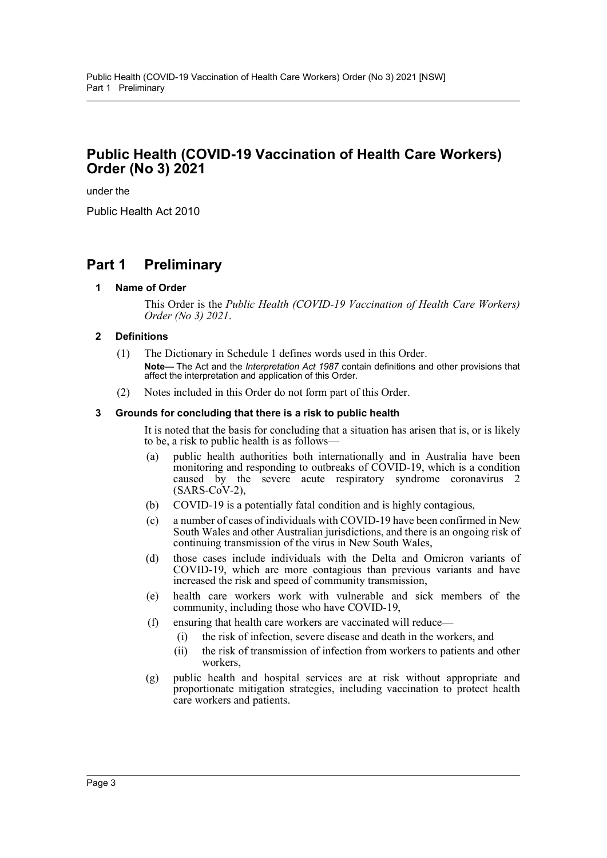# **Public Health (COVID-19 Vaccination of Health Care Workers) Order (No 3) 2021**

under the

Public Health Act 2010

# <span id="page-2-1"></span><span id="page-2-0"></span>**Part 1 Preliminary**

## **1 Name of Order**

This Order is the *Public Health (COVID-19 Vaccination of Health Care Workers) Order (No 3) 2021*.

## <span id="page-2-2"></span>**2 Definitions**

- (1) The Dictionary in Schedule 1 defines words used in this Order. **Note—** The Act and the *Interpretation Act 1987* contain definitions and other provisions that affect the interpretation and application of this Order.
- (2) Notes included in this Order do not form part of this Order.

### <span id="page-2-3"></span>**3 Grounds for concluding that there is a risk to public health**

It is noted that the basis for concluding that a situation has arisen that is, or is likely to be, a risk to public health is as follows—

- (a) public health authorities both internationally and in Australia have been monitoring and responding to outbreaks of COVID-19, which is a condition caused by the severe acute respiratory syndrome coronavirus 2  $(SARS-CoV-2)$ ,
- (b) COVID-19 is a potentially fatal condition and is highly contagious,
- (c) a number of cases of individuals with COVID-19 have been confirmed in New South Wales and other Australian jurisdictions, and there is an ongoing risk of continuing transmission of the virus in New South Wales,
- (d) those cases include individuals with the Delta and Omicron variants of COVID-19, which are more contagious than previous variants and have increased the risk and speed of community transmission,
- (e) health care workers work with vulnerable and sick members of the community, including those who have COVID-19,
- (f) ensuring that health care workers are vaccinated will reduce—
	- (i) the risk of infection, severe disease and death in the workers, and
		- (ii) the risk of transmission of infection from workers to patients and other workers,
- (g) public health and hospital services are at risk without appropriate and proportionate mitigation strategies, including vaccination to protect health care workers and patients.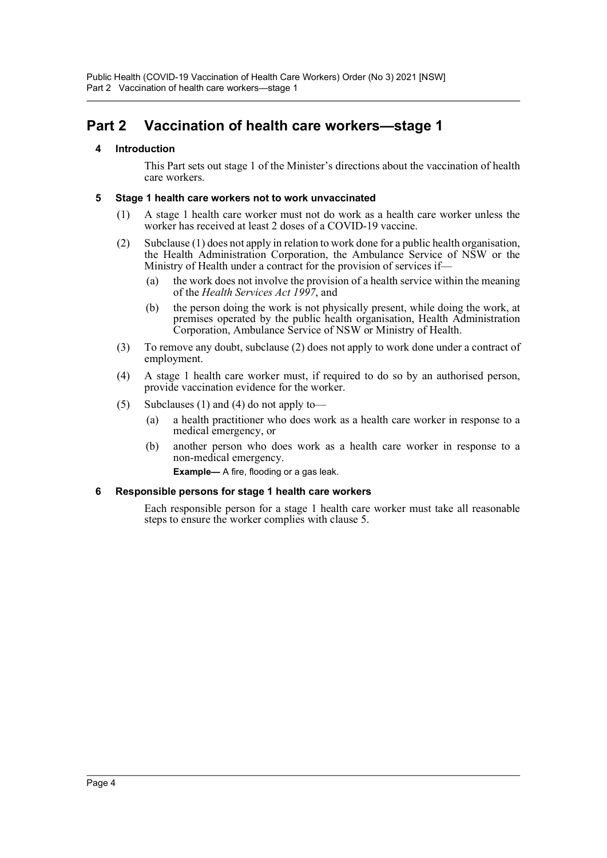Public Health (COVID-19 Vaccination of Health Care Workers) Order (No 3) 2021 [NSW] Part 2 Vaccination of health care workers—stage 1

# <span id="page-3-1"></span><span id="page-3-0"></span>**Part 2 Vaccination of health care workers—stage 1**

# **4 Introduction**

This Part sets out stage 1 of the Minister's directions about the vaccination of health care workers.

## <span id="page-3-2"></span>**5 Stage 1 health care workers not to work unvaccinated**

- (1) A stage 1 health care worker must not do work as a health care worker unless the worker has received at least 2 doses of a COVID-19 vaccine.
- (2) Subclause (1) does not apply in relation to work done for a public health organisation, the Health Administration Corporation, the Ambulance Service of NSW or the Ministry of Health under a contract for the provision of services if—
	- (a) the work does not involve the provision of a health service within the meaning of the *Health Services Act 1997*, and
	- (b) the person doing the work is not physically present, while doing the work, at premises operated by the public health organisation, Health Administration Corporation, Ambulance Service of NSW or Ministry of Health.
- (3) To remove any doubt, subclause (2) does not apply to work done under a contract of employment.
- (4) A stage 1 health care worker must, if required to do so by an authorised person, provide vaccination evidence for the worker.
- (5) Subclauses (1) and (4) do not apply to—
	- (a) a health practitioner who does work as a health care worker in response to a medical emergency, or
	- (b) another person who does work as a health care worker in response to a non-medical emergency.

**Example—** A fire, flooding or a gas leak.

## <span id="page-3-3"></span>**6 Responsible persons for stage 1 health care workers**

Each responsible person for a stage 1 health care worker must take all reasonable steps to ensure the worker complies with clause 5.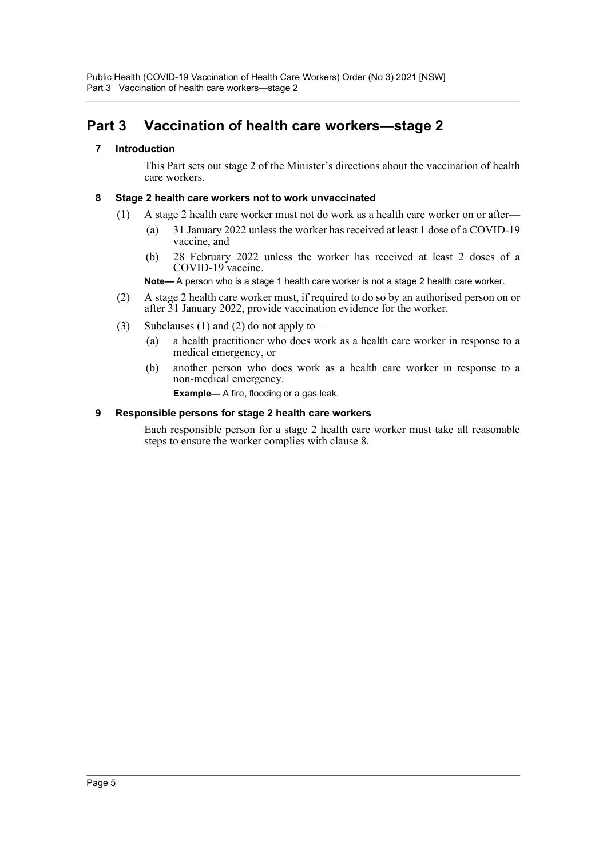# <span id="page-4-1"></span><span id="page-4-0"></span>**Part 3 Vaccination of health care workers—stage 2**

# **7 Introduction**

This Part sets out stage 2 of the Minister's directions about the vaccination of health care workers.

# <span id="page-4-2"></span>**8 Stage 2 health care workers not to work unvaccinated**

- (1) A stage 2 health care worker must not do work as a health care worker on or after—
	- (a) 31 January 2022 unless the worker has received at least 1 dose of a COVID-19 vaccine, and
	- (b) 28 February 2022 unless the worker has received at least 2 doses of a COVID-19 vaccine.

**Note—** A person who is a stage 1 health care worker is not a stage 2 health care worker.

- (2) A stage 2 health care worker must, if required to do so by an authorised person on or after 31 January 2022, provide vaccination evidence for the worker.
- (3) Subclauses (1) and (2) do not apply to—
	- (a) a health practitioner who does work as a health care worker in response to a medical emergency, or
	- (b) another person who does work as a health care worker in response to a non-medical emergency.

**Example—** A fire, flooding or a gas leak.

## <span id="page-4-3"></span>**9 Responsible persons for stage 2 health care workers**

Each responsible person for a stage 2 health care worker must take all reasonable steps to ensure the worker complies with clause 8.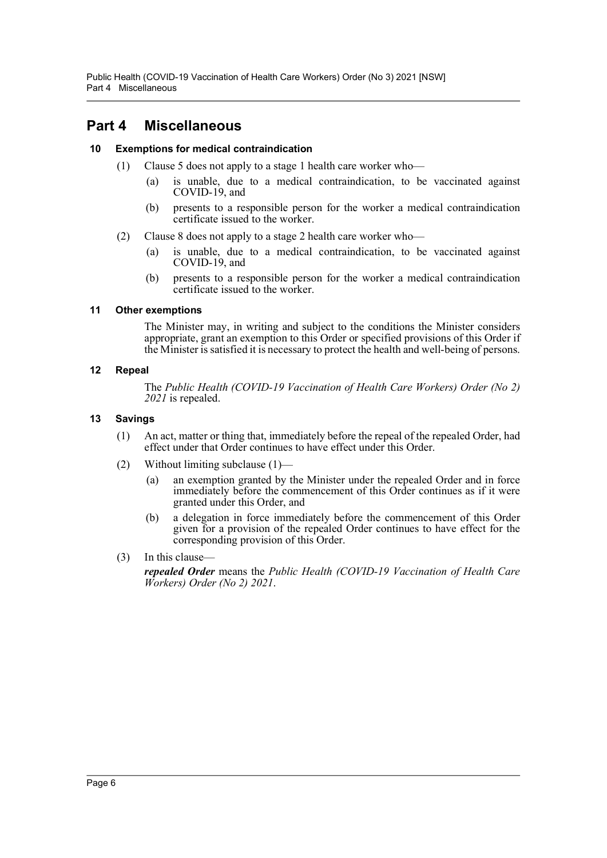Public Health (COVID-19 Vaccination of Health Care Workers) Order (No 3) 2021 [NSW] Part 4 Miscellaneous

# <span id="page-5-0"></span>**Part 4 Miscellaneous**

# <span id="page-5-1"></span>**10 Exemptions for medical contraindication**

- (1) Clause 5 does not apply to a stage 1 health care worker who—
	- (a) is unable, due to a medical contraindication, to be vaccinated against COVID-19, and
	- (b) presents to a responsible person for the worker a medical contraindication certificate issued to the worker.
- (2) Clause 8 does not apply to a stage 2 health care worker who—
	- (a) is unable, due to a medical contraindication, to be vaccinated against COVID-19, and
	- (b) presents to a responsible person for the worker a medical contraindication certificate issued to the worker.

### <span id="page-5-2"></span>**11 Other exemptions**

The Minister may, in writing and subject to the conditions the Minister considers appropriate, grant an exemption to this Order or specified provisions of this Order if the Minister is satisfied it is necessary to protect the health and well-being of persons.

### <span id="page-5-3"></span>**12 Repeal**

The *Public Health (COVID-19 Vaccination of Health Care Workers) Order (No 2) 2021* is repealed.

## <span id="page-5-4"></span>**13 Savings**

- (1) An act, matter or thing that, immediately before the repeal of the repealed Order, had effect under that Order continues to have effect under this Order.
- (2) Without limiting subclause (1)—
	- (a) an exemption granted by the Minister under the repealed Order and in force immediately before the commencement of this Order continues as if it were granted under this Order, and
	- (b) a delegation in force immediately before the commencement of this Order given for a provision of the repealed Order continues to have effect for the corresponding provision of this Order.
- (3) In this clause—

*repealed Order* means the *Public Health (COVID-19 Vaccination of Health Care Workers) Order (No 2) 2021*.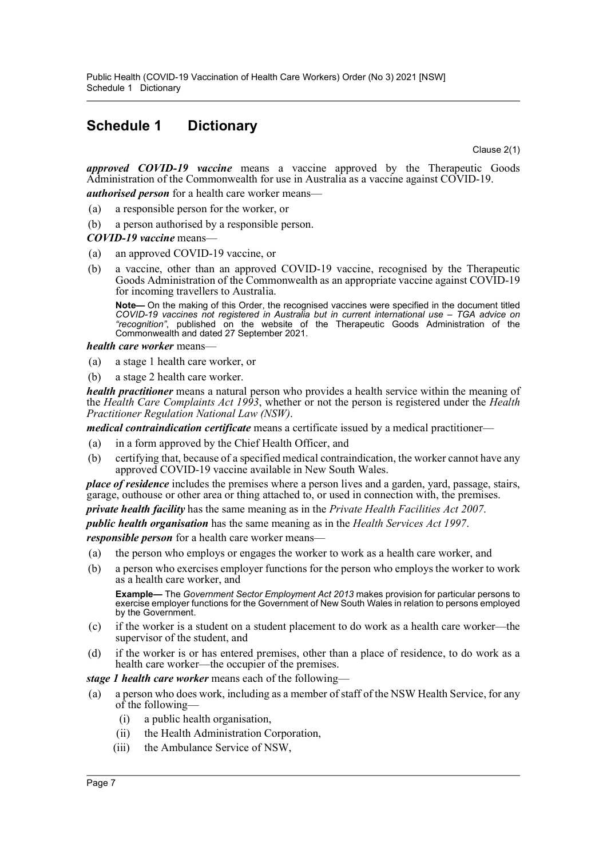# <span id="page-6-0"></span>**Schedule 1 Dictionary**

Clause 2(1)

*approved COVID-19 vaccine* means a vaccine approved by the Therapeutic Goods Administration of the Commonwealth for use in Australia as a vaccine against COVID-19.

*authorised person* for a health care worker means—

- (a) a responsible person for the worker, or
- (b) a person authorised by a responsible person.

### *COVID-19 vaccine* means—

- (a) an approved COVID-19 vaccine, or
- (b) a vaccine, other than an approved COVID-19 vaccine, recognised by the Therapeutic Goods Administration of the Commonwealth as an appropriate vaccine against COVID-19 for incoming travellers to Australia.

**Note—** On the making of this Order, the recognised vaccines were specified in the document titled *COVID-19 vaccines not registered in Australia but in current international use – TGA advice on "recognition"*, published on the website of the Therapeutic Goods Administration of the Commonwealth and dated 27 September 2021.

#### *health care worker* means—

- (a) a stage 1 health care worker, or
- (b) a stage 2 health care worker.

*health practitioner* means a natural person who provides a health service within the meaning of the *Health Care Complaints Act 1993*, whether or not the person is registered under the *Health Practitioner Regulation National Law (NSW)*.

*medical contraindication certificate* means a certificate issued by a medical practitioner—

- (a) in a form approved by the Chief Health Officer, and
- (b) certifying that, because of a specified medical contraindication, the worker cannot have any approved COVID-19 vaccine available in New South Wales.

*place of residence* includes the premises where a person lives and a garden, yard, passage, stairs, garage, outhouse or other area or thing attached to, or used in connection with, the premises.

*private health facility* has the same meaning as in the *Private Health Facilities Act 2007*.

*public health organisation* has the same meaning as in the *Health Services Act 1997*.

*responsible person* for a health care worker means—

- (a) the person who employs or engages the worker to work as a health care worker, and
- (b) a person who exercises employer functions for the person who employs the worker to work as a health care worker, and

**Example—** The *Government Sector Employment Act 2013* makes provision for particular persons to exercise employer functions for the Government of New South Wales in relation to persons employed by the Government.

- (c) if the worker is a student on a student placement to do work as a health care worker—the supervisor of the student, and
- (d) if the worker is or has entered premises, other than a place of residence, to do work as a health care worker—the occupier of the premises.

#### *stage 1 health care worker* means each of the following—

- (a) a person who does work, including as a member of staff of the NSW Health Service, for any of the following—
	- (i) a public health organisation,
	- (ii) the Health Administration Corporation,
	- (iii) the Ambulance Service of NSW,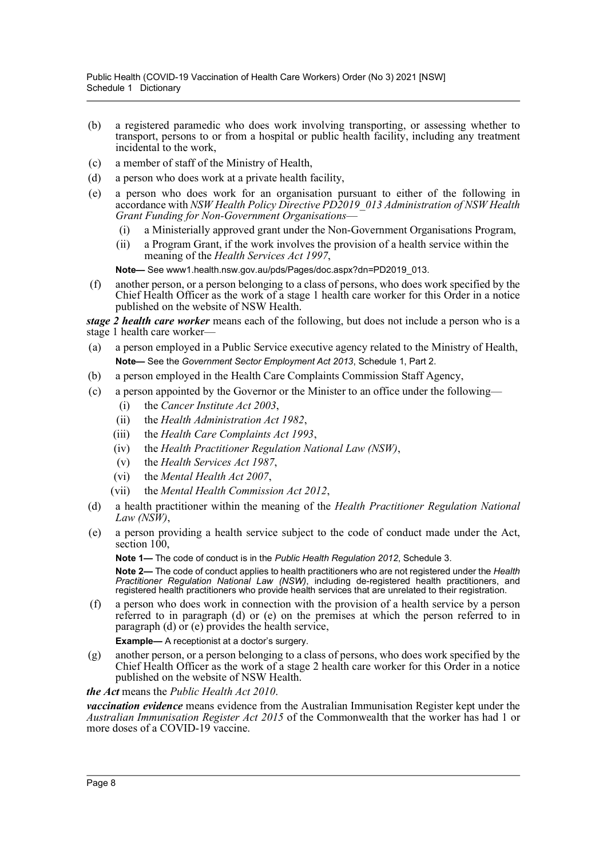- (b) a registered paramedic who does work involving transporting, or assessing whether to transport, persons to or from a hospital or public health facility, including any treatment incidental to the work,
- (c) a member of staff of the Ministry of Health,
- (d) a person who does work at a private health facility,
- (e) a person who does work for an organisation pursuant to either of the following in accordance with *NSW Health Policy Directive PD2019\_013 Administration of NSW Health Grant Funding for Non-Government Organisations*—
	- (i) a Ministerially approved grant under the Non-Government Organisations Program,
	- (ii) a Program Grant, if the work involves the provision of a health service within the meaning of the *Health Services Act 1997*,

**Note—** See www1.health.nsw.gov.au/pds/Pages/doc.aspx?dn=PD2019\_013.

(f) another person, or a person belonging to a class of persons, who does work specified by the Chief Health Officer as the work of a stage 1 health care worker for this Order in a notice published on the website of NSW Health.

*stage 2 health care worker* means each of the following, but does not include a person who is a stage 1 health care worker—

- (a) a person employed in a Public Service executive agency related to the Ministry of Health, **Note—** See the *Government Sector Employment Act 2013*, Schedule 1, Part 2.
- (b) a person employed in the Health Care Complaints Commission Staff Agency,
- (c) a person appointed by the Governor or the Minister to an office under the following—
	- (i) the *Cancer Institute Act 2003*,
	- (ii) the *Health Administration Act 1982*,
	- (iii) the *Health Care Complaints Act 1993*,
	- (iv) the *Health Practitioner Regulation National Law (NSW)*,
	- (v) the *Health Services Act 1987*,
	- (vi) the *Mental Health Act 2007*,
	- (vii) the *Mental Health Commission Act 2012*,
- (d) a health practitioner within the meaning of the *Health Practitioner Regulation National Law (NSW)*,
- (e) a person providing a health service subject to the code of conduct made under the Act, section  $100$ .

**Note 1—** The code of conduct is in the *Public Health Regulation 2012*, Schedule 3.

**Note 2—** The code of conduct applies to health practitioners who are not registered under the *Health Practitioner Regulation National Law (NSW)*, including de-registered health practitioners, and registered health practitioners who provide health services that are unrelated to their registration.

(f) a person who does work in connection with the provision of a health service by a person referred to in paragraph (d) or (e) on the premises at which the person referred to in paragraph (d) or (e) provides the health service,

**Example—** A receptionist at a doctor's surgery.

(g) another person, or a person belonging to a class of persons, who does work specified by the Chief Health Officer as the work of a stage 2 health care worker for this Order in a notice published on the website of NSW Health.

*the Act* means the *Public Health Act 2010*.

*vaccination evidence* means evidence from the Australian Immunisation Register kept under the *Australian Immunisation Register Act 2015* of the Commonwealth that the worker has had 1 or more doses of a COVID-19 vaccine.